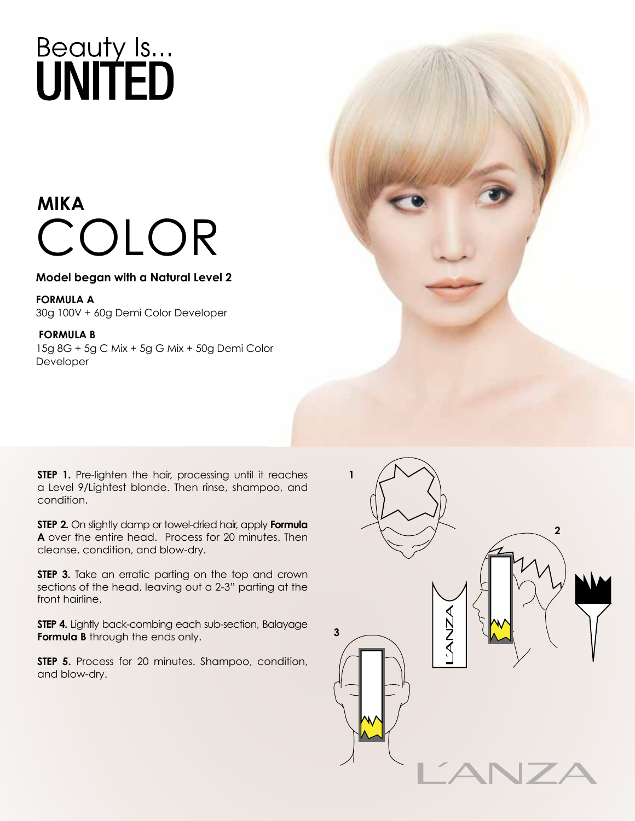### **MIKA**  COLOR

#### **Model began with a Natural Level 2**

**FORMULA A** 30g 100V + 60g Demi Color Developer

#### **FORMULA B**

15g 8G + 5g C Mix + 5g G Mix + 50g Demi Color Developer



**STEP 1.** Pre-lighten the hair, processing until it reaches a Level 9/Lightest blonde. Then rinse, shampoo, and condition.

**STEP 2.** On slightly damp or towel-dried hair, apply **Formula A** over the entire head. Process for 20 minutes. Then cleanse, condition, and blow-dry.

**STEP 3.** Take an erratic parting on the top and crown sections of the head, leaving out a 2-3" parting at the front hairline.

**STEP 4.** Lightly back-combing each sub-section, Balayage **Formula B** through the ends only.

**STEP 5.** Process for 20 minutes. Shampoo, condition, and blow-dry.

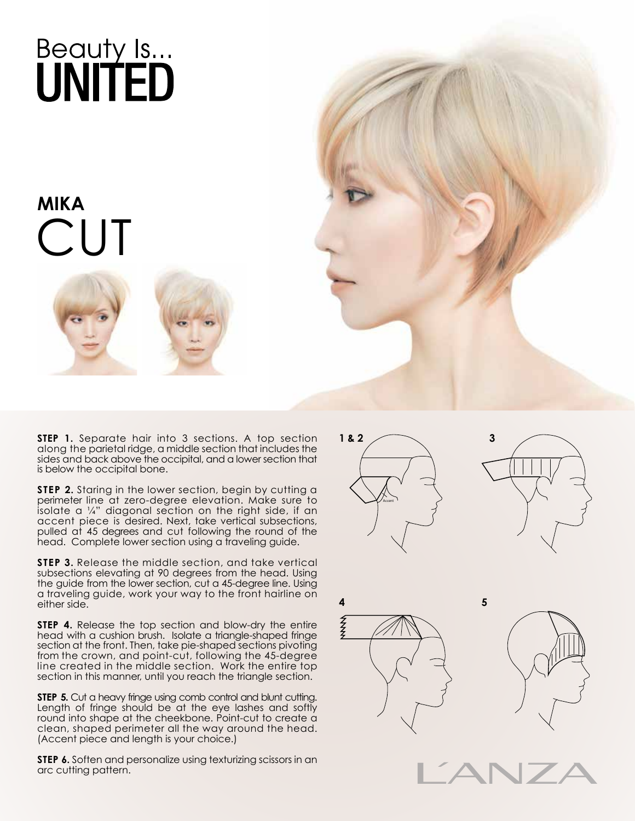#### **MIKA**   $C<sub>1</sub>$





**STEP 1.** Separate hair into 3 sections. A top section along the parietal ridge, a middle section that includes the sides and back above the occipital, and a lower section that is below the occipital bone.

**STEP 2.** Staring in the lower section, begin by cutting a perimeter line at zero-degree elevation. Make sure to isolate a  $\frac{1}{4}$ " diagonal section on the right side, if an accent piece is desired. Next, take vertical subsections, pulled at 45 degrees and cut following the round of the head. Complete lower section using a traveling guide.

**STEP 3.** Release the middle section, and take vertical subsections elevating at 90 degrees from the head. Using the guide from the lower section, cut a 45-degree line. Using a traveling guide, work your way to the front hairline on either side.

**STEP 4.** Release the top section and blow-dry the entire head with a cushion brush. Isolate a triangle-shaped fringe section at the front. Then, take pie-shaped sections pivoting from the crown, and point-cut, following the 45-degree line created in the middle section. Work the entire top section in this manner, until you reach the triangle section.

**STEP 5.** Cut a heavy fringe using comb control and blunt cutting. Length of fringe should be at the eye lashes and softly round into shape at the cheekbone. Point-cut to create a clean, shaped perimeter all the way around the head. (Accent piece and length is your choice.)

**STEP 6.** Soften and personalize using texturizing scissors in an arc cutting pattern.









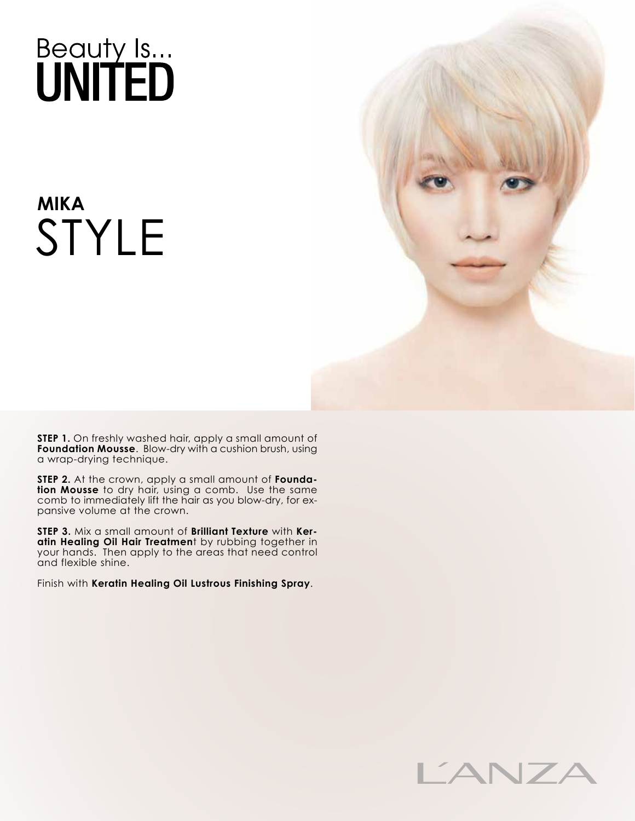## **MIKA**  STYLE



**STEP 1.** On freshly washed hair, apply a small amount of **Foundation Mousse**. Blow-dry with a cushion brush, using a wrap-drying technique.

**STEP 2.** At the crown, apply a small amount of **Foundation Mousse** to dry hair, using a comb. Use the same comb to immediately lift the hair as you blow-dry, for expansive volume at the crown.

**STEP 3.** Mix a small amount of **Brilliant Texture** with **Keratin Healing Oil Hair Treatmen**t by rubbing together in your hands. Then apply to the areas that need control and flexible shine.

Finish with **Keratin Healing Oil Lustrous Finishing Spray**.

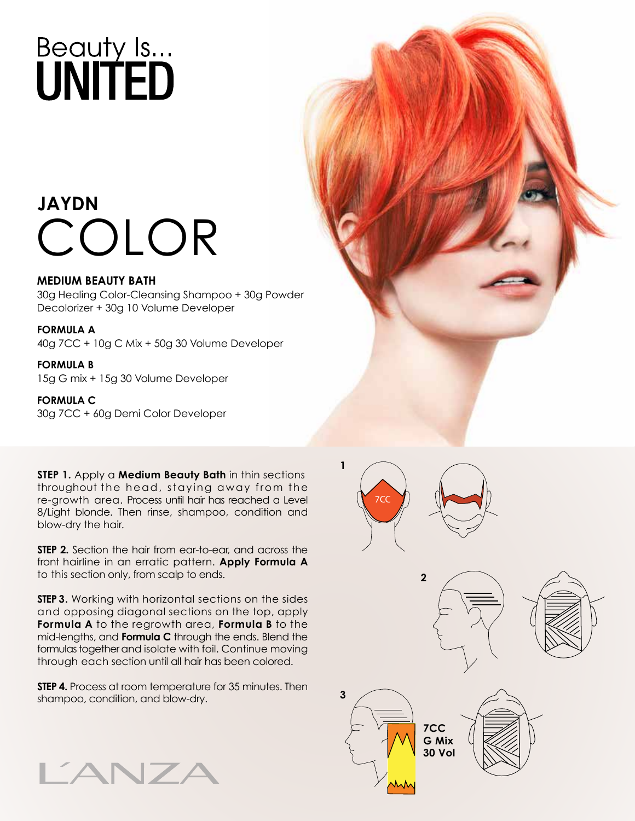### **JAYDN** COLOR

#### **MEDIUM BEAUTY BATH**

30g Healing Color-Cleansing Shampoo + 30g Powder Decolorizer + 30g 10 Volume Developer

#### **FORMULA A**

40g 7CC + 10g C Mix + 50g 30 Volume Developer

#### **FORMULA B** 15g G mix + 15g 30 Volume Developer

**FORMULA C** 30g 7CC + 60g Demi Color Developer

**STEP 1.** Apply a **Medium Beauty Bath** in thin sections throughout the head, staying away from the re-growth area. Process until hair has reached a Level 8/Light blonde. Then rinse, shampoo, condition and blow-dry the hair.

**STEP 2.** Section the hair from ear-to-ear, and across the front hairline in an erratic pattern. **Apply Formula A** to this section only, from scalp to ends.

**STEP 3.** Working with horizontal sections on the sides and opposing diagonal sections on the top, apply **Formula A** to the regrowth area, **Formula B** to the mid-lengths, and **Formula C** through the ends. Blend the formulas together and isolate with foil. Continue moving through each section until all hair has been colored.

**STEP 4.** Process at room temperature for 35 minutes. Then shampoo, condition, and blow-dry.





7CC

**2**

**7CC G Mix 30 Vol**

**3**

**1**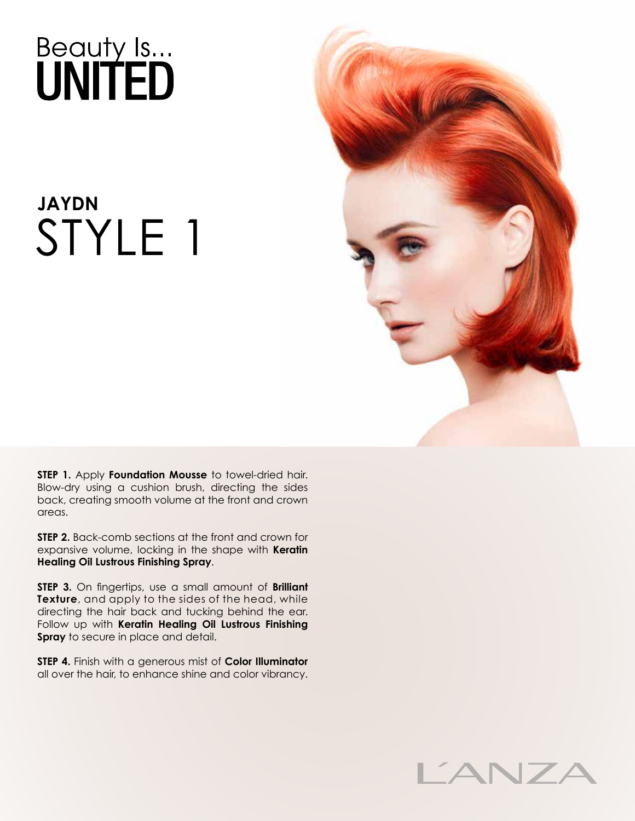### **JAYDN** STYLE 1



**STEP 1.** Apply **Foundation Mousse** to towel-dried hair. Blow-dry using a cushion brush, directing the sides back, creating smooth volume at the front and crown areas.

**STEP 2.** Back-comb sections at the front and crown for expansive volume, locking in the shape with **Keratin Healing Oil Lustrous Finishing Spray**.

**STEP 3.** On fingertips, use a small amount of **Brilliant Texture**, and apply to the sides of the head, while directing the hair back and tucking behind the ear. Follow up with **Keratin Healing Oil Lustrous Finishing Spray** to secure in place and detail.

**STEP 4.** Finish with a generous mist of **Color Illuminator** all over the hair, to enhance shine and color vibrancy.

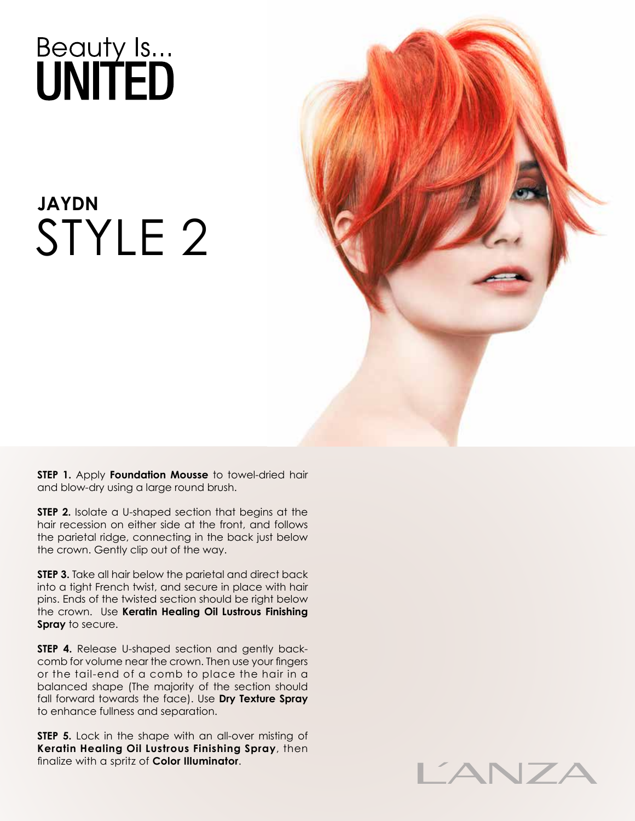### **JAYDN** STYLE 2



**STEP 1.** Apply **Foundation Mousse** to towel-dried hair and blow-dry using a large round brush.

**STEP 2.** Isolate a U-shaped section that begins at the hair recession on either side at the front, and follows the parietal ridge, connecting in the back just below the crown. Gently clip out of the way.

**STEP 3.** Take all hair below the parietal and direct back into a tight French twist, and secure in place with hair pins. Ends of the twisted section should be right below the crown. Use **Keratin Healing Oil Lustrous Finishing Spray** to secure.

**STEP 4.** Release U-shaped section and gently backcomb for volume near the crown. Then use your fingers or the tail-end of a comb to place the hair in a balanced shape (The majority of the section should fall forward towards the face). Use **Dry Texture Spray** to enhance fullness and separation.

**STEP 5.** Lock in the shape with an all-over misting of **Keratin Healing Oil Lustrous Finishing Spray**, then finalize with a spritz of **Color Illuminator**.

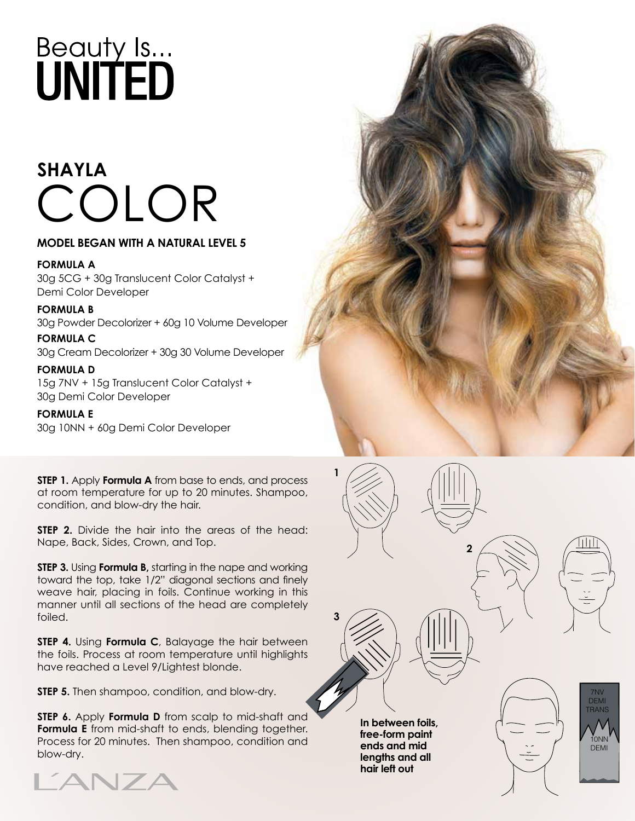## **SHAYLA** COLOR

#### **MODEL BEGAN WITH A NATURAL LEVEL 5**

#### **FORMULA A**

30g 5CG + 30g Translucent Color Catalyst + Demi Color Developer

**FORMULA B** 30g Powder Decolorizer + 60g 10 Volume Developer **FORMULA C**

30g Cream Decolorizer + 30g 30 Volume Developer

#### **FORMULA D**

15g 7NV + 15g Translucent Color Catalyst + 30g Demi Color Developer

#### **FORMULA E**

30g 10NN + 60g Demi Color Developer

**STEP 1.** Apply **Formula A** from base to ends, and process at room temperature for up to 20 minutes. Shampoo, condition, and blow-dry the hair.

**STEP 2.** Divide the hair into the areas of the head: Nape, Back, Sides, Crown, and Top.

**STEP 3.** Using **Formula B,** starting in the nape and working toward the top, take 1/2" diagonal sections and finely weave hair, placing in foils. Continue working in this manner until all sections of the head are completely foiled.

**STEP 4.** Using **Formula C**, Balayage the hair between the foils. Process at room temperature until highlights have reached a Level 9/Lightest blonde.

**STEP 5.** Then shampoo, condition, and blow-dry.

**STEP 6.** Apply **Formula D** from scalp to mid-shaft and **Formula E** from mid-shaft to ends, blending together. Process for 20 minutes. Then shampoo, condition and blow-dry.







7NV DEMI TRANS

> 10NN DEMI

**1**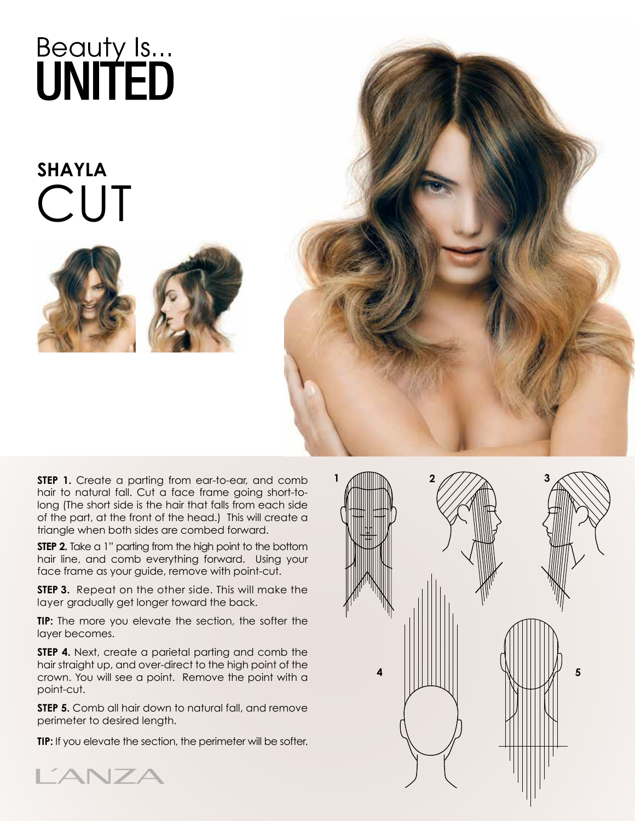### **SHAYLA CUT**







**STEP 1.** Create a parting from ear-to-ear, and comb hair to natural fall. Cut a face frame going short-tolong (The short side is the hair that falls from each side of the part, at the front of the head.) This will create a triangle when both sides are combed forward.

**STEP 2.** Take a 1" parting from the high point to the bottom hair line, and comb everything forward. Using your face frame as your guide, remove with point-cut.

**STEP 3.** Repeat on the other side. This will make the layer gradually get longer toward the back.

**TIP:** The more you elevate the section, the softer the layer becomes.

**STEP 4.** Next, create a parietal parting and comb the hair straight up, and over-direct to the high point of the crown. You will see a point. Remove the point with a point-cut.

**STEP 5.** Comb all hair down to natural fall, and remove perimeter to desired length.

**TIP:** If you elevate the section, the perimeter will be softer.



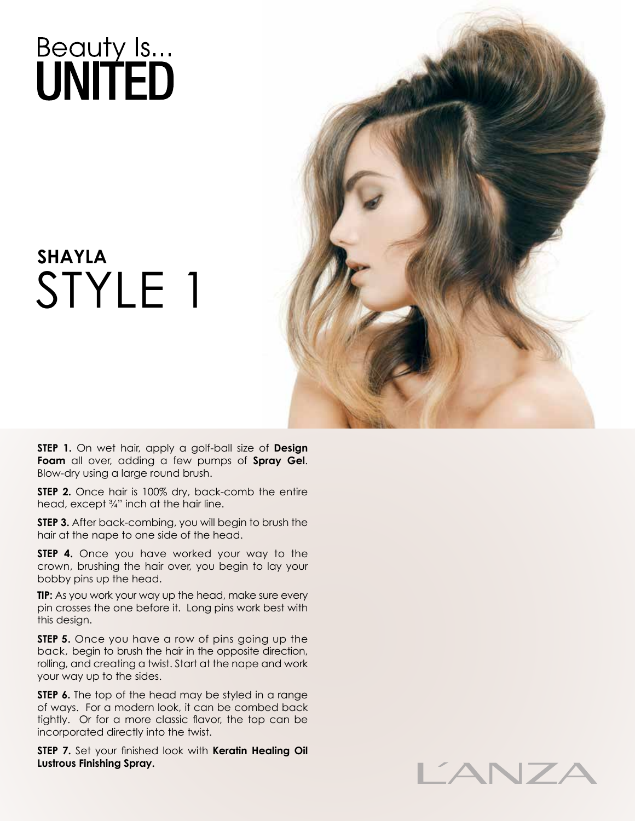### **SHAYLA** STYLE 1



**STEP 1.** On wet hair, apply a golf-ball size of **Design Foam** all over, adding a few pumps of **Spray Gel**. Blow-dry using a large round brush.

**STEP 2.** Once hair is 100% dry, back-comb the entire head, except ¾" inch at the hair line.

**STEP 3.** After back-combing, you will begin to brush the hair at the nape to one side of the head.

**STEP 4.** Once you have worked your way to the crown, brushing the hair over, you begin to lay your bobby pins up the head.

**TIP:** As you work your way up the head, make sure every pin crosses the one before it. Long pins work best with this design.

**STEP 5.** Once you have a row of pins going up the back, begin to brush the hair in the opposite direction, rolling, and creating a twist. Start at the nape and work your way up to the sides.

**STEP 6.** The top of the head may be styled in a range of ways. For a modern look, it can be combed back tightly. Or for a more classic flavor, the top can be incorporated directly into the twist.

**STEP 7.** Set your finished look with **Keratin Healing Oil Lustrous Finishing Spray.**

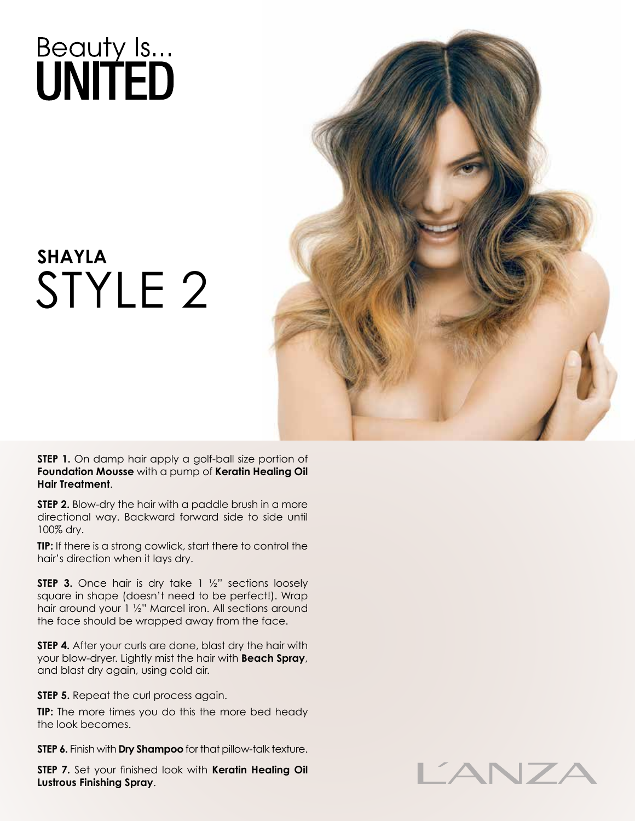### **SHAYLA** STYLE 2



**STEP 1.** On damp hair apply a golf-ball size portion of **Foundation Mousse** with a pump of **Keratin Healing Oil Hair Treatment**.

**STEP 2.** Blow-dry the hair with a paddle brush in a more directional way. Backward forward side to side until 100% dry.

**TIP:** If there is a strong cowlick, start there to control the hair's direction when it lays dry.

**STEP 3.** Once hair is dry take 1 1/2" sections loosely square in shape (doesn't need to be perfect!). Wrap hair around your 1 ½" Marcel iron. All sections around the face should be wrapped away from the face.

**STEP 4.** After your curls are done, blast dry the hair with your blow-dryer. Lightly mist the hair with **Beach Spray**, and blast dry again, using cold air.

**STEP 5.** Repeat the curl process again.

**TIP:** The more times you do this the more bed heady the look becomes.

**STEP 6.** Finish with **Dry Shampoo** for that pillow-talk texture.

**STEP 7.** Set your finished look with **Keratin Healing Oil Lustrous Finishing Spray**.